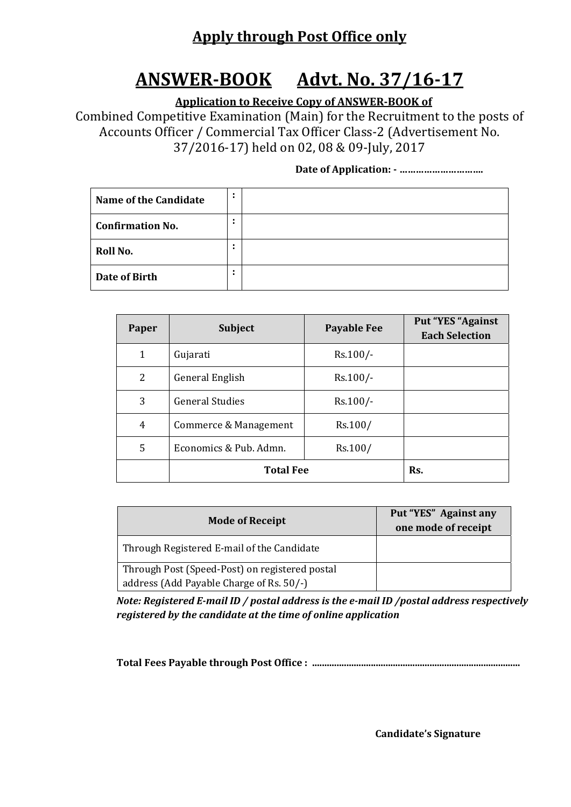### **Apply through Post Office only**

# **ANSWER‐BOOK Advt. No. 37/16‐17**

 **Application to Receive Copy of ANSWER‐BOOK of**

Combined Competitive Examination (Main) for the Recruitment to the posts of Accounts Officer / Commercial Tax Officer Class-2 (Advertisement No. 37/2016-17) held on 02, 08 & 09-July, 2017

#### **Date of Application: ‐ ………………………….**

| <b>Name of the Candidate</b> | ٠      |  |
|------------------------------|--------|--|
| <b>Confirmation No.</b>      | ٠<br>٠ |  |
| Roll No.                     | ٠<br>٠ |  |
| Date of Birth                | ٠<br>٠ |  |

| Paper          | <b>Subject</b>         | <b>Payable Fee</b> | Put "YES "Against<br><b>Each Selection</b> |
|----------------|------------------------|--------------------|--------------------------------------------|
| 1              | Gujarati               | $Rs.100/-$         |                                            |
| 2              | General English        | $Rs.100/-$         |                                            |
| 3              | <b>General Studies</b> | $Rs.100/-$         |                                            |
| $\overline{4}$ | Commerce & Management  | Rs.100/            |                                            |
| 5              | Economics & Pub. Admn. | Rs.100/            |                                            |
|                | <b>Total Fee</b>       | Rs.                |                                            |

| <b>Mode of Receipt</b>                         | Put "YES" Against any<br>one mode of receipt |
|------------------------------------------------|----------------------------------------------|
| Through Registered E-mail of the Candidate     |                                              |
| Through Post (Speed-Post) on registered postal |                                              |
| address (Add Payable Charge of Rs. 50/-)       |                                              |

*Note: Registered E‐mail ID / postal address is the e‐mail ID /postal address respectively registered by the candidate at the time of online application*

**Total Fees Payable through Post Office : .....................................................................................**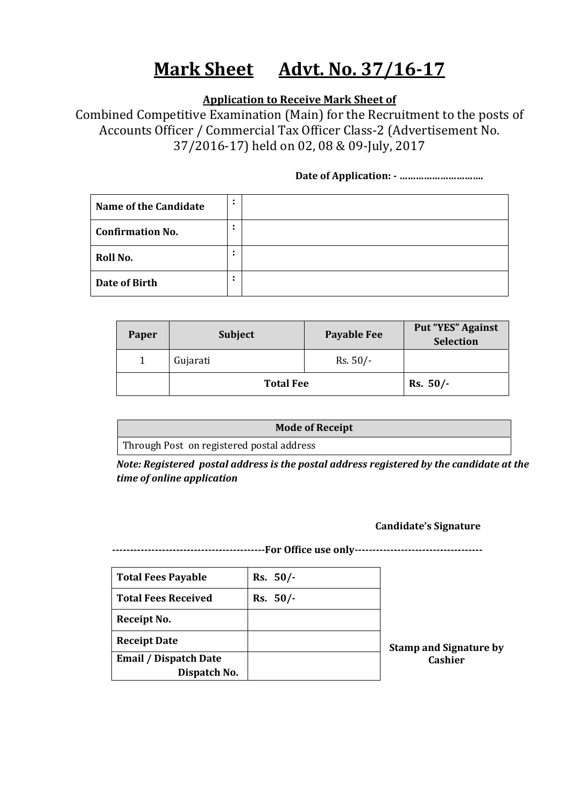# **Mark Sheet Advt. No. 37/16‐17**

 **Application to Receive Mark Sheet of**

Combined Competitive Examination (Main) for the Recruitment to the posts of Accounts Officer / Commercial Tax Officer Class-2 (Advertisement No. 37/2016-17) held on 02, 08 & 09-July, 2017

#### **Date of Application: ‐ ………………………….**

| Name of the Candidate   | ٠      |  |
|-------------------------|--------|--|
| <b>Confirmation No.</b> | ٠<br>٠ |  |
| Roll No.                | ٠      |  |
| Date of Birth           | ٠<br>٠ |  |

| Paper | <b>Subject</b>   | <b>Payable Fee</b> | <b>Put "YES" Against</b><br>Selection |
|-------|------------------|--------------------|---------------------------------------|
|       | Gujarati         | $Rs. 50/-$         |                                       |
|       | <b>Total Fee</b> | $Rs. 50/-$         |                                       |

| <b>Mode of Receipt</b>                    |  |  |  |
|-------------------------------------------|--|--|--|
| Through Post on registered postal address |  |  |  |

*Note: Registered postal address is the postal address registered by the candidate at the time of online application*

**Candidate's Signature**

**‐‐‐‐‐‐‐‐‐‐‐‐‐‐‐‐‐‐‐‐‐‐‐‐‐‐‐‐‐‐‐‐‐‐‐‐‐‐‐‐‐‐‐For Office use only‐‐‐‐‐‐‐‐‐‐‐‐‐‐‐‐‐‐‐‐‐‐‐‐‐‐‐‐‐‐‐‐‐‐‐‐** 

| <b>Total Fees Payable</b>    | $Rs. 50/-$ |                               |
|------------------------------|------------|-------------------------------|
| <b>Total Fees Received</b>   | $Rs. 50/-$ |                               |
| Receipt No.                  |            |                               |
| <b>Receipt Date</b>          |            | <b>Stamp and Signature by</b> |
| <b>Email / Dispatch Date</b> |            | <b>Cashier</b>                |
| Dispatch No.                 |            |                               |